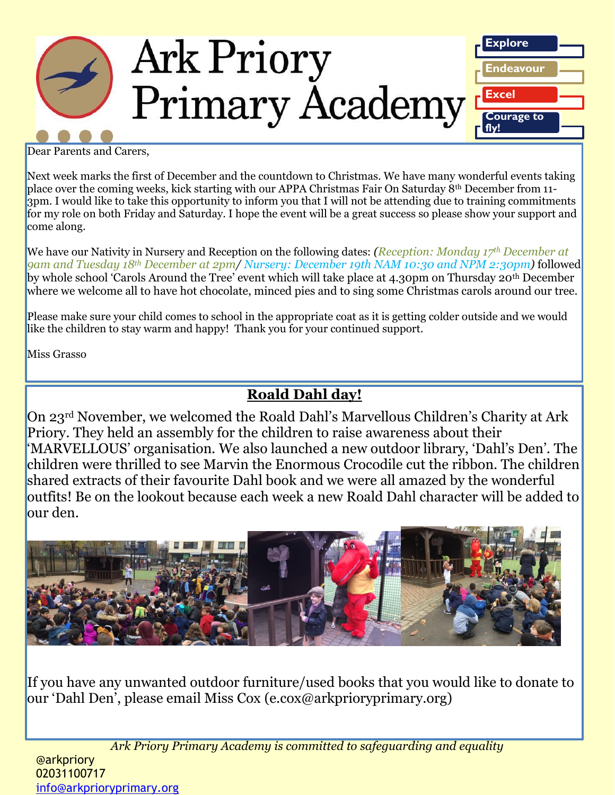

Dear Parents and Carers,

Next week marks the first of December and the countdown to Christmas. We have many wonderful events taking place over the coming weeks, kick starting with our APPA Christmas Fair On Saturday 8th December from 11- 3pm. I would like to take this opportunity to inform you that I will not be attending due to training commitments for my role on both Friday and Saturday. I hope the event will be a great success so please show your support and come along.

We have our Nativity in Nursery and Reception on the following dates: *(Reception: Monday 17th December at 9am and Tuesday 18th December at 2pm/ Nursery: December 19th NAM 10:30 and NPM 2:30pm)* followed by whole school 'Carols Around the Tree' event which will take place at 4.30pm on Thursday 20<sup>th</sup> December where we welcome all to have hot chocolate, minced pies and to sing some Christmas carols around our tree.

Please make sure your child comes to school in the appropriate coat as it is getting colder outside and we would like the children to stay warm and happy! Thank you for your continued support.

Miss Grasso

## **Roald Dahl day!**

On 23rd November, we welcomed the Roald Dahl's Marvellous Children's Charity at Ark Priory. They held an assembly for the children to raise awareness about their 'MARVELLOUS' organisation. We also launched a new outdoor library, 'Dahl's Den'. The children were thrilled to see Marvin the Enormous Crocodile cut the ribbon. The children shared extracts of their favourite Dahl book and we were all amazed by the wonderful outfits! Be on the lookout because each week a new Roald Dahl character will be added to our den.



If you have any unwanted outdoor furniture/used books that you would like to donate to our 'Dahl Den', please email Miss Cox (e.cox@arkprioryprimary.org)

*Ark Priory Primary Academy is committed to safeguarding and equality*  @arkpriory 02031100717 [info@arkprioryprimary.org](mailto:info@arkprioryprimary.org)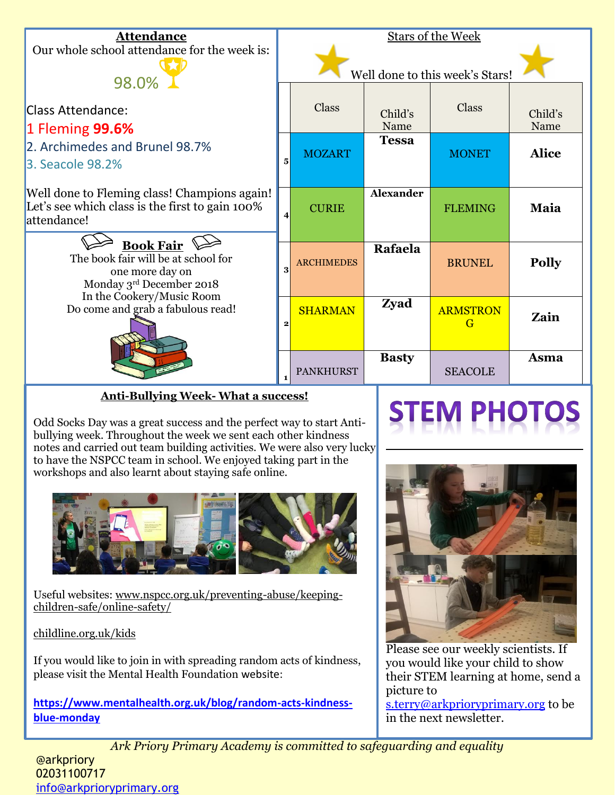

### **Anti-Bullying Week- What a success!**

Odd Socks Day was a great success and the perfect way to start Antibullying week. Throughout the week we sent each other kindness notes and carried out team building activities. We were also very lucky to have the NSPCC team in school. We enjoyed taking part in the workshops and also learnt about staying safe online.



Useful websites: www.nspcc.org.uk/preventing-abuse/keepingchildren-safe/online-safety/

childline.org.uk/kids

If you would like to join in with spreading random acts of kindness, please visit the Mental Health Foundation website:

**[https://www.mentalhealth.org.uk/blog/random-acts-kindness](https://www.mentalhealth.org.uk/blog/random-acts-kindness-blue-monday)[blue-monday](https://www.mentalhealth.org.uk/blog/random-acts-kindness-blue-monday)**



Please see our weekly scientists. If you would like your child to show their STEM learning at home, send a picture to

[s.terry@arkprioryprimary.org](mailto:s.terry@arkprioryprimary.org) to be in the next newsletter.

*Ark Priory Primary Academy is committed to safeguarding and equality*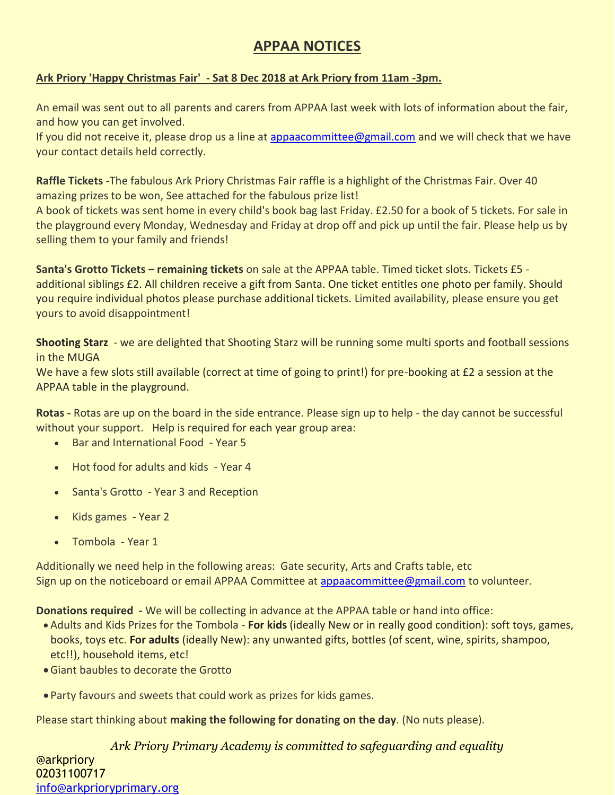## **APPAA NOTICES**

#### **Ark Priory 'Happy Christmas Fair' - Sat 8 Dec 2018 at Ark Priory from 11am -3pm.**

An email was sent out to all parents and carers from APPAA last week with lots of information about the fair, and how you can get involved.

If you did not receive it, please drop us a line at [appaacommittee@gmail.com](mailto:appaacommittee@gmail.com) and we will check that we have your contact details held correctly.

**Raffle Tickets -**The fabulous Ark Priory Christmas Fair raffle is a highlight of the Christmas Fair. Over 40 amazing prizes to be won, See attached for the fabulous prize list!

A book of tickets was sent home in every child's book bag last Friday. £2.50 for a book of 5 tickets. For sale in the playground every Monday, Wednesday and Friday at drop off and pick up until the fair. Please help us by selling them to your family and friends!

**Santa's Grotto Tickets – remaining tickets** on sale at the APPAA table. Timed ticket slots. Tickets £5 additional siblings £2. All children receive a gift from Santa. One ticket entitles one photo per family. Should you require individual photos please purchase additional tickets. Limited availability, please ensure you get yours to avoid disappointment!

**Shooting Starz** - we are delighted that Shooting Starz will be running some multi sports and football sessions in the MUGA

We have a few slots still available (correct at time of going to print!) for pre-booking at £2 a session at the APPAA table in the playground.

**Rotas -** Rotas are up on the board in the side entrance. Please sign up to help - the day cannot be successful without your support. Help is required for each year group area:

- Bar and International Food Year 5
- Hot food for adults and kids Year 4
- Santa's Grotto Year 3 and Reception
- Kids games Year 2
- Tombola Year 1

Additionally we need help in the following areas: Gate security, Arts and Crafts table, etc Sign up on the noticeboard or email APPAA Committee at [appaacommittee@gmail.com](mailto:appaacommittee@gmail.com) to volunteer.

**Donations required -** We will be collecting in advance at the APPAA table or hand into office:

- Adults and Kids Prizes for the Tombola **For kids** (ideally New or in really good condition): soft toys, games, books, toys etc. **For adults** (ideally New): any unwanted gifts, bottles (of scent, wine, spirits, shampoo, etc!!), household items, etc!
- Giant baubles to decorate the Grotto
- Party favours and sweets that could work as prizes for kids games.

Please start thinking about **making the following for donating on the day**. (No nuts please).

*Ark Priory Primary Academy is committed to safeguarding and equality*  @arkpriory 02031100717 [info@arkprioryprimary.org](mailto:info@arkprioryprimary.org)